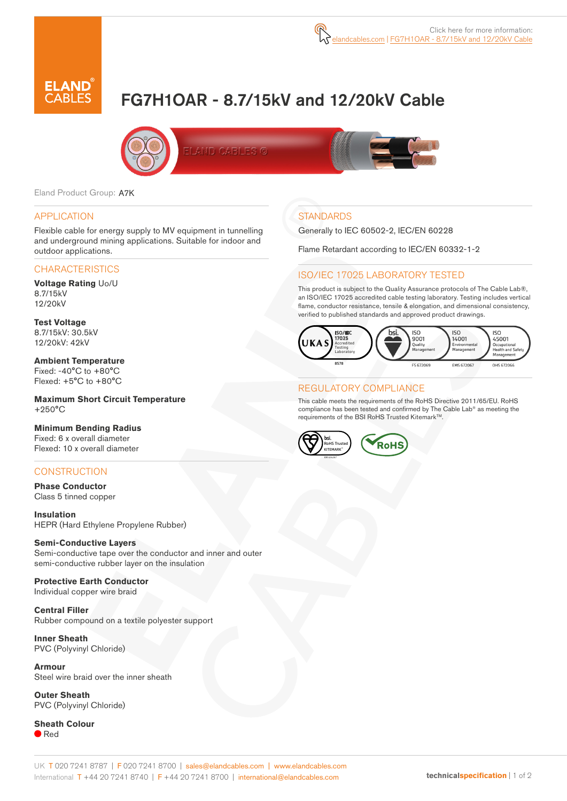

# FG7H1OAR - 8.7/15kV and 12/20kV Cable



Eland Product Group: A7K

#### APPLICATION

Flexible cable for energy supply to MV equipment in tunnelling and underground mining applications. Suitable for indoor and outdoor applications.

#### **CHARACTERISTICS**

**Voltage Rating** Uo/U 8.7/15kV 12/20kV

**Test Voltage** 8.7/15kV: 30.5kV 12/20kV: 42kV

**Ambient Temperature** Fixed: -40°C to +80°C Flexed: +5°C to +80°C

**Maximum Short Circuit Temperature** +250°C

**Minimum Bending Radius** Fixed: 6 x overall diameter

Flexed: 10 x overall diameter

#### **CONSTRUCTION**

**Phase Conductor** Class 5 tinned copper

**Insulation** HEPR (Hard Ethylene Propylene Rubber)

**Semi-Conductive Layers** Semi-conductive tape over the conductor and inner and outer semi-conductive rubber layer on the insulation

**Protective Earth Conductor** Individual copper wire braid

**Central Filler** Rubber compound on a textile polyester support

**Inner Sheath** PVC (Polyvinyl Chloride)

**Armour** Steel wire braid over the inner sheath

**Outer Sheath** PVC (Polyvinyl Chloride)

**Sheath Colour** ● Red

# **STANDARDS**

Generally to IEC 60502-2, IEC/EN 60228

Flame Retardant according to IEC/EN 60332-1-2

#### ISO/IEC 17025 LABORATORY TESTED

This product is subject to the Quality Assurance protocols of The Cable Lab®, an ISO/IEC 17025 accredited cable testing laboratory. Testing includes vertical flame, conductor resistance, tensile & elongation, and dimensional consistency, verified to published standards and approved product drawings.



#### REGULATORY COMPLIANCE

This cable meets the requirements of the RoHS Directive 2011/65/EU. RoHS compliance has been tested and confirmed by The Cable Lab® as meeting the requirements of the BSI RoHS Trusted Kitemark™.